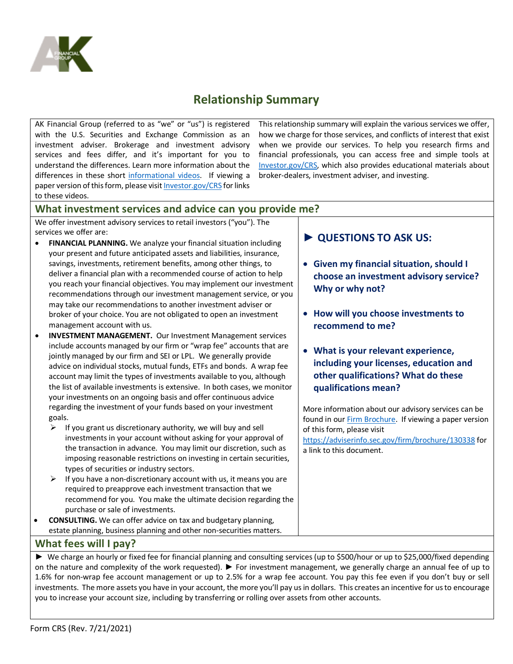

# **Relationship Summary**

AK Financial Group (referred to as "we" or "us") is registered with the U.S. Securities and Exchange Commission as an investment adviser. Brokerage and investment advisory services and fees differ, and it's important for you to understand the differences. Learn more information about the differences in these short [informational videos.](https://www.youtube.com/playlist?list=PLrB8PjaXSV6uLdNIz6MVpbGLBHNyXPc-h) If viewing a paper version of this form, please visi[t Investor.gov/CRS](https://www.investor.gov/CRS) for links to these videos.

This relationship summary will explain the various services we offer, how we charge for those services, and conflicts of interest that exist when we provide our services. To help you research firms and financial professionals, you can access free and simple tools at [Investor.gov/CRS,](https://www.investor.gov/CRS) which also provides educational materials about broker-dealers, investment adviser, and investing.

### **What investment services and advice can you provide me?**

We offer investment advisory services to retail investors ("you"). The services we offer are:

- **FINANCIAL PLANNING.** We analyze your financial situation including your present and future anticipated assets and liabilities, insurance, savings, investments, retirement benefits, among other things, to deliver a financial plan with a recommended course of action to help you reach your financial objectives. You may implement our investment recommendations through our investment management service, or you may take our recommendations to another investment adviser or broker of your choice. You are not obligated to open an investment management account with us.
- **INVESTMENT MANAGEMENT.** Our Investment Management services include accounts managed by our firm or "wrap fee" accounts that are jointly managed by our firm and SEI or LPL. We generally provide advice on individual stocks, mutual funds, ETFs and bonds. A wrap fee account may limit the types of investments available to you, although the list of available investments is extensive. In both cases, we monitor your investments on an ongoing basis and offer continuous advice regarding the investment of your funds based on your investment goals.
	- $\triangleright$  If you grant us discretionary authority, we will buy and sell investments in your account without asking for your approval of the transaction in advance. You may limit our discretion, such as imposing reasonable restrictions on investing in certain securities, types of securities or industry sectors.
	- $\triangleright$  If you have a non-discretionary account with us, it means you are required to preapprove each investment transaction that we recommend for you. You make the ultimate decision regarding the purchase or sale of investments.

• **CONSULTING.** We can offer advice on tax and budgetary planning, estate planning, business planning and other non-securities matters.

# **► QUESTIONS TO ASK US:**

- **Given my financial situation, should I choose an investment advisory service? Why or why not?**
- **How will you choose investments to recommend to me?**
- **What is your relevant experience, including your licenses, education and other qualifications? What do these qualifications mean?**

More information about our advisory services can be found in our [Firm Brochure.](https://adviserinfo.sec.gov/firm/brochure/130338) If viewing a paper version of this form, please visit

<https://adviserinfo.sec.gov/firm/brochure/130338> for a link to this document.

### **What fees will I pay?**

► We charge an hourly or fixed fee for financial planning and consulting services (up to \$500/hour or up to \$25,000/fixed depending on the nature and complexity of the work requested). ► For investment management, we generally charge an annual fee of up to 1.6% for non-wrap fee account management or up to 2.5% for a wrap fee account. You pay this fee even if you don't buy or sell investments. The more assets you have in your account, the more you'll pay us in dollars. This creates an incentive for us to encourage you to increase your account size, including by transferring or rolling over assets from other accounts.